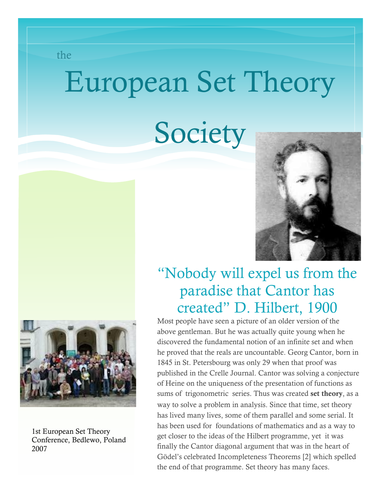the

# European Set Theory

# **Society**





1st European Set Theory Conference, Bedlewo, Poland 2007

### "Nobody will expel us from the paradise that Cantor has created" D. Hilbert, 1900

Most people have seen a picture of an older version of the above gentleman. But he was actually quite young when he discovered the fundamental notion of an infinite set and when he proved that the reals are uncountable. Georg Cantor, born in 1845 in St. Petersbourg was only 29 when that proof was published in the Crelle Journal. Cantor was solving a conjecture of Heine on the uniqueness of the presentation of functions as sums of trigonometric series. Thus was created set theory, as a way to solve a problem in analysis. Since that time, set theory has lived many lives, some of them parallel and some serial. It has been used for foundations of mathematics and as a way to get closer to the ideas of the Hilbert programme, yet it was finally the Cantor diagonal argument that was in the heart of Gödel's celebrated Incompleteness Theorems [2] which spelled the end of that programme. Set theory has many faces.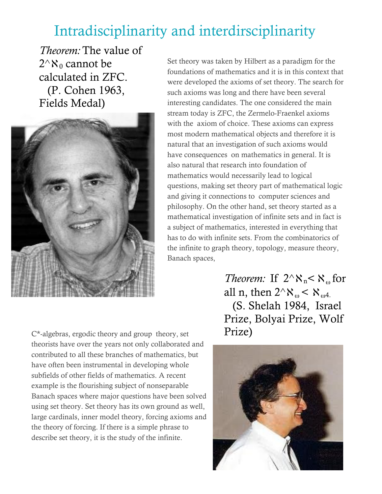### Intradisciplinarity and interdirsciplinarity

*Theorem:* The value of  $2^{\wedge}\aleph_0$  cannot be calculated in ZFC. (P. Cohen 1963, Fields Medal)



Set theory was taken by Hilbert as a paradigm for the foundations of mathematics and it is in this context that were developed the axioms of set theory. The search for such axioms was long and there have been several interesting candidates. The one considered the main stream today is ZFC, the Zermelo-Fraenkel axioms with the axiom of choice. These axioms can express most modern mathematical objects and therefore it is natural that an investigation of such axioms would have consequences on mathematics in general. It is also natural that research into foundation of mathematics would necessarily lead to logical questions, making set theory part of mathematical logic and giving it connections to computer sciences and philosophy. On the other hand, set theory started as a mathematical investigation of infinite sets and in fact is a subject of mathematics, interested in everything that has to do with infinite sets. From the combinatorics of the infinite to graph theory, topology, measure theory, Banach spaces,

> *Theorem:* If  $2^k$ <sup>x</sup><sub>n</sub> $\lt$   $\aleph$ <sub>o</sub> for all n, then  $2^{\wedge}$   $\aleph_{\omega}$  <  $\aleph_{\omega}$ . (S. Shelah 1984, Israel Prize, Bolyai Prize, Wolf Prize)

C\*-algebras, ergodic theory and group theory, set theorists have over the years not only collaborated and contributed to all these branches of mathematics, but have often been instrumental in developing whole subfields of other fields of mathematics. A recent example is the flourishing subject of nonseparable Banach spaces where major questions have been solved using set theory. Set theory has its own ground as well, large cardinals, inner model theory, forcing axioms and the theory of forcing. If there is a simple phrase to describe set theory, it is the study of the infinite.

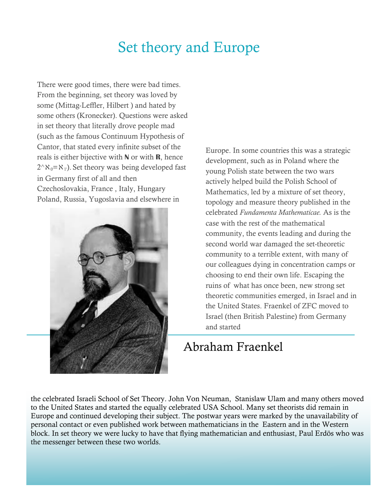#### Set theory and Europe

There were good times, there were bad times. From the beginning, set theory was loved by some (Mittag-Leffler, Hilbert ) and hated by some others (Kronecker). Questions were asked in set theory that literally drove people mad (such as the famous Continuum Hypothesis of Cantor, that stated every infinite subset of the reals is either bijective with **N** or with **R**, hence  $2^{\wedge}$   $\aleph_0$  =  $\aleph_1$ . Set theory was being developed fast in Germany first of all and then Czechoslovakia, France , Italy, Hungary Poland, Russia, Yugoslavia and elsewhere in



Europe. In some countries this was a strategic development, such as in Poland where the young Polish state between the two wars actively helped build the Polish School of Mathematics, led by a mixture of set theory, topology and measure theory published in the celebrated *Fundamenta Mathematicae.* As is the case with the rest of the mathematical community, the events leading and during the second world war damaged the set-theoretic community to a terrible extent, with many of our colleagues dying in concentration camps or choosing to end their own life. Escaping the ruins of what has once been, new strong set theoretic communities emerged, in Israel and in the United States. Fraenkel of ZFC moved to Israel (then British Palestine) from Germany and started

#### Abraham Fraenkel

the celebrated Israeli School of Set Theory. John Von Neuman, Stanislaw Ulam and many others moved to the United States and started the equally celebrated USA School. Many set theorists did remain in Europe and continued developing their subject. The postwar years were marked by the unavailability of personal contact or even published work between mathematicians in the Eastern and in the Western block. In set theory we were lucky to have that flying mathematician and enthusiast, Paul Erdös who was the messenger between these two worlds.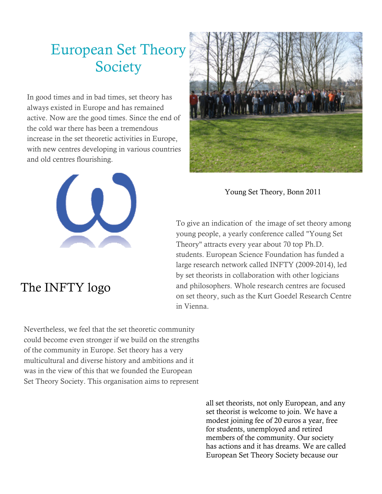## European Set Theory **Society**

In good times and in bad times, set theory has always existed in Europe and has remained active. Now are the good times. Since the end of the cold war there has been a tremendous increase in the set theoretic activities in Europe, with new centres developing in various countries and old centres flourishing.



#### The INFTY logo



Young Set Theory, Bonn 2011

To give an indication of the image of set theory among young people, a yearly conference called "Young Set Theory" attracts every year about 70 top Ph.D. students. European Science Foundation has funded a large research network called INFTY (2009-2014), led by set theorists in collaboration with other logicians and philosophers. Whole research centres are focused on set theory, such as the Kurt Goedel Research Centre in Vienna.

Nevertheless, we feel that the set theoretic community could become even stronger if we build on the strengths of the community in Europe. Set theory has a very multicultural and diverse history and ambitions and it was in the view of this that we founded the European Set Theory Society. This organisation aims to represent

> all set theorists, not only European, and any set theorist is welcome to join. We have a modest joining fee of 20 euros a year, free for students, unemployed and retired members of the community. Our society has actions and it has dreams. We are called European Set Theory Society because our